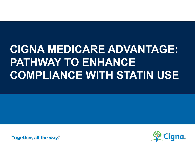# **CIGNA MEDICARE ADVANTAGE: PATHWAY TO ENHANCE COMPLIANCE WITH STATIN USE**

**Together, all the way.**®

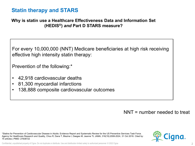### **Statin therapy and STARS**

#### **Why is statin use a Healthcare Effectiveness Data and Information Set (HEDIS®)** *and* **Part D STARS measure?**

For every 10,000,000 (NNT) Medicare beneficiaries at high risk receiving effective high intensity statin therapy:

Prevention of the following:\*

- 42,918 cardiovascular deaths
- 81,300 myocardial infarctions
- 138,888 composite cardiovascular outcomes

NNT = number needed to treat

\*Statins for Prevention of Cardiovascular Disease in Adults: Evidence Report and Systematic Review for the US Preventive Services Task Force. Agency for Healthcare Research and Quality, Chou R, Dana T, Blazina I, Daeges M, Jeanne TL JAMA, 316(19):2008-2024, 31 Oct 2016. Cited by: 75 articles | PMID: 27838722

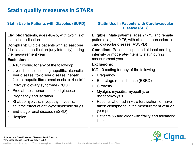# **Statin quality measures in STARs**

| <b>Statin Use in Patients with Diabetes (SUPD)</b>                                                                                                                                                                                                                                                                                                                                                                                                                                                                                                                                                                                                                                                                                       | <b>Statin Use in Patients with Cardiovascular</b><br><b>Disease (SPC)</b>                                                                                                                                                                                                                                                                                                                                                                                                                                                                                                                                                                                                                                                             |
|------------------------------------------------------------------------------------------------------------------------------------------------------------------------------------------------------------------------------------------------------------------------------------------------------------------------------------------------------------------------------------------------------------------------------------------------------------------------------------------------------------------------------------------------------------------------------------------------------------------------------------------------------------------------------------------------------------------------------------------|---------------------------------------------------------------------------------------------------------------------------------------------------------------------------------------------------------------------------------------------------------------------------------------------------------------------------------------------------------------------------------------------------------------------------------------------------------------------------------------------------------------------------------------------------------------------------------------------------------------------------------------------------------------------------------------------------------------------------------------|
| <b>Eligible:</b> Patients, ages 40-75, with two fills of<br>diabetic medication<br><b>Compliant:</b> Eligible patients with at least one<br>fill of a statin medication (any intensity) during<br>the measurement year<br><b>Exclusions:</b><br>ICD-10* coding for any of the following:<br>Liver disease including hepatitis, alcoholic<br>liver disease, toxic liver disease, hepatic<br>failure, hepatic fibrosis/sclerosis, cirrhosis**<br>Polycystic ovary syndrome (PCOS)<br>Prediabetes, abnormal blood glucose<br>$\bullet$<br>Pregnancy and lactation<br>$\bullet$<br>Rhabdomyolysis, myopathy, myositis,<br>$\bullet$<br>adverse effect of anti-hyperlipidemic drugs<br>End-stage renal disease (ESRD)<br>$\bullet$<br>Hospice | <b>Eligible:</b> Male patients, ages 21-75, and female<br>patients, ages 40-75, with clinical atherosclerotic<br>cardiovascular disease (ASCVD)<br><b>Compliant: Patients dispensed at least one high-</b><br>intensity or moderate-intensity statin during<br>measurement year<br><b>Exclusions:</b><br>ICD-10 coding for any of the following:<br>Pregnancy<br>$\bullet$<br>End-stage renal disease (ESRD)<br>$\bullet$<br><b>Cirrhosis</b><br>$\bullet$<br>Myalgia, myositis, myopathy, or<br>$\bullet$<br>rhabdomyolysis<br>Patients who had in vitro fertilization, or have<br>$\bullet$<br>taken clomiphene in the measurement year or<br>year prior<br>Patients 66 and older with frailty and advanced<br>$\bullet$<br>illness |

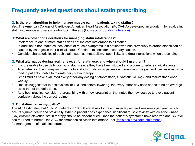# **Frequently asked questions about statin prescribing**

#### **Q: Is there an algorithm to help manage muscle pain in patients taking statins?**

Yes. The American College of Cardiology/American Heart Association (ACC/AHA) developed an algorithm for evaluating statin intolerance and safely reintroducing therapy [\(tools.acc.org/StatinIntolerance](https://tools.acc.org/StatinIntolerance/#!/))*.*

#### **Q: What are other considerations for managing statin intolerances?**

- Intolerance to one or more statins does not indicate intolerance to all statins.
- In addition to non-statin causes, onset of muscle symptoms in a patient who has previously tolerated statins can be caused by changes in their clinical status. Continue to consider secondary causes.
- Consider characteristics of each statin, such as metabolism, lipophilicity, and drug interactions when prescribing.

#### **Q: What alternative dosing regimens exist for statin use, and when should I use them?**

- It is preferable to use daily dosing of statins since they have been studied and proven to reduce clinical events.
- Alternate-day dosing may improve the tolerability of statins in patients experiencing myalgia, and can reasonably be tried in patients unable to tolerate daily statin therapy.
- Small studies have evaluated every-other-day dosing of atorvastatin, fluvastatin (40 mg), and rosuvastatin once weekly.
- Results suggest that to achieve similar LDL cholesterol lowering, the every-other-day dose needs to be on average twice that of the daily dose.
- As a best practice, consider re-prescribing with a new prescription that notes the new dosage to avoid patient confusion about the correct regimen.

#### **Q: Do statins cause myopathy?**

The ACC estimates that 10 to 20 patients in 10,000 are at risk for having muscle pain and weakness per year, which occurs symmetrically and proximally. When a patient does experience significant muscle toxicity with creatine kinase (CK) enzyme elevation, statin therapy should be discontinued. Once the patient's symptoms have resolved and CK level has returned to normal, the ACC recommends its Statin Intolerance Tool ([tools.acc.org/StatinIntolerance\)](https://tools.acc.org/StatinIntolerance/#!/) for management of statin intolerance.

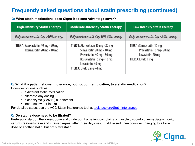# **Frequently asked questions about statin prescribing (continued)**

**Q: What statin medications does Cigna Medicare Advantage cover?** 

| <b>High-Intensity Statin Therapy</b>                                    | <b>Moderate-Intensity Statin Therapy</b>                                                                                                                                           | <b>Low-Intensity Statin Therapy</b>                                                                             |
|-------------------------------------------------------------------------|------------------------------------------------------------------------------------------------------------------------------------------------------------------------------------|-----------------------------------------------------------------------------------------------------------------|
| Daily dose lowers LDL-C by >50%, on avg.                                | Daily dose lowers LDL-C by 30%-50%, on avg.                                                                                                                                        | Daily dose lowers LDL-C by <30%, on avg.                                                                        |
| <b>TIER 1:</b> Atorvastatin 40 mg - 80 mg<br>Rosuvastatin 20 mg - 40 mg | TIER 1: Atorvastatin 10 mg - 20 mg<br>Simvastatin 20 mg - 40 mg<br>Pravastatin 40 mg - 80 mg<br>Rosuvastatin 5 mg - 10 mg<br>Lovastatin 40 mg<br><b>TIER 3:</b> Livalo 2 mg - 4 mg | <b>TIER 1:</b> Simvastatin 10 mg<br>Pravastatin 10 mg - 20 mg<br>Lovastatin 20 mg<br><b>TIER 3: Livalo 1 mg</b> |

**Q**: **What if a patient shows intolerance, but not contraindication, to a statin medication?**

Consider options such as:

- a different statin medication
- alternate-day dosing
- a coenzyme (CoQ10) supplement
- increased water intake

For detailed steps, use the ACC Statin Intolerance tool at [tools.acc.org/StatinIntolerance](http://tools.acc.org/StatinIntolerance).

#### **Q: Do statins dose need to be titrated?**

Preferably, start on the lowest dose and titrate up. If a patient complains of muscle discomfort, immediately monitor serum creatine kinase and if raised repeat after three days' rest. If still raised, then consider changing to a lower dose or another statin, but not simvastatin.

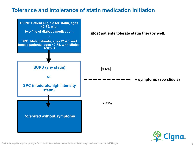### **Tolerance and intolerance of statin medication initiation**



Confidential, unpublished property of Cigna. Do not duplicate or distribute. Use and distribution limited solely to authorized personnel. © 2022 Cigna 6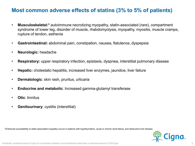### **Most common adverse effects of statins (3% to 5% of patients)**

- **Musculoskeletal:\*** autoimmune necrotizing myopathy, statin-associated (rare), compartment syndrome of lower leg, disorder of muscle, rhabdomyolysis, myopathy, myositis, muscle cramps, rupture of tendon, asthenia
- **Gastrointestinal:** abdominal pain, constipation, nausea, flatulence, dyspepsia
- **Neurologic:** headache
- **Respiratory:** upper respiratory infection, epistaxis, dyspnea, interstitial pulmonary disease
- **Hepatic:** cholestatic hepatitis, increased liver enzymes, jaundice, liver failure
- **Dermatologic**: skin rash, pruritus, urticaria
- **Endocrine and metabolic**: Increased gamma-glutamyl transferase
- **Otic**: tinnitus
- **Genitourinary**: cystitis (interstitial)

\*Enhanced susceptibility to statin-associated myopathy occurs in patients with hypothyroidism, acute or chronic renal failure, and obstructive liver disease.

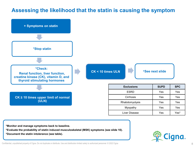### **Assessing the likelihood that the statin is causing the symptom**



**\*Monitor and manage symptoms back to baseline.**

**\*Evaluate the probability of statin induced musculoskeletal (MSK) symptoms (see slide 10).**

**\*Document the statin intolerance (see table).**



Confidential, unpublished property of Cigna. Do not duplicate or distribute. Use and distribution limited solely to authorized personnel. © 2022 Cigna 8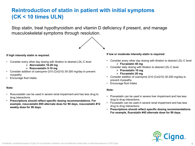# **Reintroduction of statin in patient with initial symptoms (CK < 10 times ULN)**

Stop statin, treat hypothyroidism and vitamin D deficiency if present, and manage musculoskeletal symptoms through resolution.



#### **If high intensity statin is required:**

- Consider every other day dosing with titration to desired LDL-C level
	- **Atorvastatin 10-20 mg**
	- **Rosuvastatin 5-10 mg**
- Consider addition of coenzyme Q10 (CoQ10) 30-250 mg/day to prevent myopathy
- Encourage fluid intake

#### **Note:**

- Rosuvastatin can be used in severe renal impairment and has less drug to drug interactions.
- **Prescriptions should reflect specific dosing recommendations. For example, rosuvastatin #45 alternate dose for 90 days, rosuvastatin #12 weekly dose for 90 days.**

#### **If low or moderate intensity statin is required:**

- Consider every other day dosing with titration to desired LDL-C level **Fluvastatin 40 mg**
- Consider daily dosing with titration to desired LDL-C level
	- **Pravastatin 10 mg**
	- **Fluvastatin 20 mg**
- Consider addition of coenzyme Q10 (CoQ10) 30-250 mg/day to prevent myopathy
- Encourage fluid intake

#### **Note:**

- Pravastatin can be used in severe liver impairment and has less drug to drug interactions.
- Fluvastatin can be used in severe renal impairment and has less drug to drug interactions.
- **Prescriptions should reflect specific dosing recommendations. For example, fluavstatin #45 alternate dose for 90 days.**

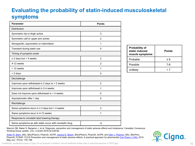# **Evaluating the probability of statin-induced musculoskeletal symptoms**

| <b>Parameter</b>                                       | <b>Points</b>  |  |
|--------------------------------------------------------|----------------|--|
| <b>Distribution</b>                                    |                |  |
| Symmetric hip or thigh aches                           | 3              |  |
| Symmetric calf or upper arm aches                      | $\overline{2}$ |  |
| Nonspecific, asymmetric or intermittent                | 1              |  |
| Transient during statin use                            | $\Omega$       |  |
| Timing of symptom onset                                |                |  |
| $\geq$ 2 days but < 4 weeks                            | 3              |  |
| 4-12 weeks                                             | $\overline{2}$ |  |
| > 12 weeks                                             | 1              |  |
| < 2 days                                               | $\Omega$       |  |
| Dechallenge                                            |                |  |
| Improves upon withdrawal in 2 days to < 2 weeks        | $\overline{2}$ |  |
| Improves upon withdrawal in 2-4 weeks                  | 1              |  |
| Does not improve upon withdrawal in > 4 weeks          | $\Omega$       |  |
| Asymptomatic after 1 day                               | $\Omega$       |  |
| Rechallenge                                            |                |  |
| Same symptoms recur in $\geq 2$ days but < 4 weeks     | 3              |  |
| Same symptoms recur in 4-12 weeks                      | 1              |  |
| Response to nonstatin lipid lowering therapy           |                |  |
| Same symptoms as with statin occur with nonstatin drug | -5             |  |

| <b>Probability of</b><br>statin induced<br>muscle symptoms | <b>Points</b> |
|------------------------------------------------------------|---------------|
| Probable                                                   | ≥ 9           |
| Possible                                                   | 7-8           |
| Unlikely                                                   | - 7           |

Mancini GB, Baker S, Bergeron J, et al. Diagnosis, prevention and management of statin adverse effects and intolerance: Canadian Consensus Working Group update. *Can J Cardiol* 2016;32:S35-65.

[Arden R. Barry,](https://www.ncbi.nlm.nih.gov/pubmed/?term=Barry%20AR%5BAuthor%5D&cauthor=true&cauthor_uid=29796131) BSc, BSc(Pharm), PharmD, ACPR, [Jessica E. Beach](https://www.ncbi.nlm.nih.gov/pubmed/?term=Beach%20JE%5BAuthor%5D&cauthor=true&cauthor_uid=29796131), BSc(Pharm), PharmD, ACPR, and [Glen J. Pearson,](https://www.ncbi.nlm.nih.gov/pubmed/?term=Pearson%20GJ%5BAuthor%5D&cauthor=true&cauthor_uid=29796131) BSc, BScPhm, PharmD, FCSHP, FCCS Prevention and management of statin adverse effects: A practical approach for pharmacists [Can Pharm J \(Ott\).](https://www.ncbi.nlm.nih.gov/pmc/articles/PMC5958441/) 2018 May-Jun; 151(3): 179–188



Confidential, unpublished property of Cigna. Do not duplicate or distribute. Use and distribution limited solely to authorized personnel. © 2022 Cigna 10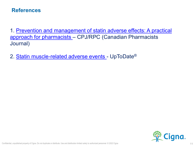### **References**

[1. Prevention and management of statin adverse effects: A practical](https://www.ncbi.nlm.nih.gov/pmc/articles/PMC5958441/) approach for pharmacists – CPJ/RPC (Canadian Pharmacists Journal)

2. [Statin muscle-related adverse events -](https://www.uptodate.com/contents/statin-muscle-related-adverse-events?search=statin&source=search_result&selectedTitle=4%7E141&usage_type=default&display_rank=2) UpToDate®